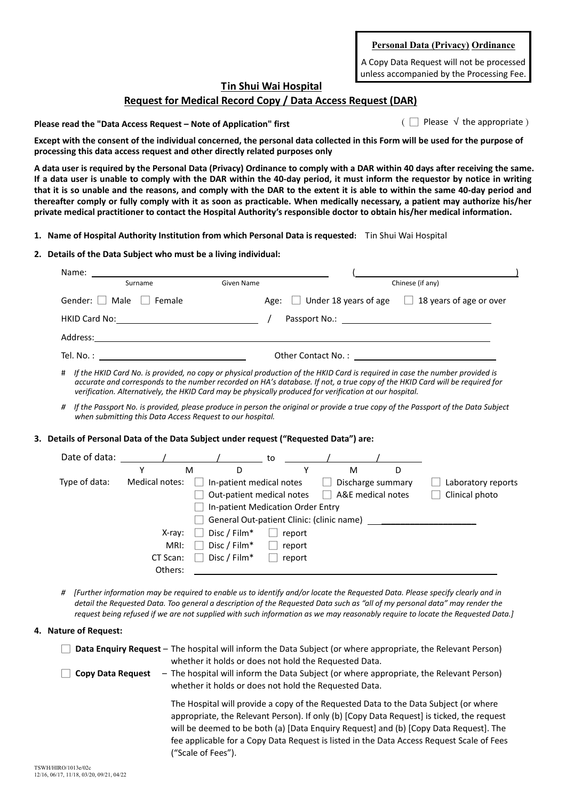**Personal Data (Privacy) Ordinance** 

A Copy Data Request will not be processed unless accompanied by the Processing Fee.

### **Tin Shui Wai Hospital**

## **Request for Medical Record Copy / Data Access Request (DAR)**

**Please read the "Data Access Request – Note of Application" first**

( $\Box$  Please  $\sqrt{ }$  the appropriate)

Except with the consent of the individual concerned, the personal data collected in this Form will be used for the purpose of **processing this data access request and other directly related purposes only**

A data user is required by the Personal Data (Privacy) Ordinance to comply with a DAR within 40 days after receiving the same. If a data user is unable to comply with the DAR within the 40-day period, it must inform the requestor by notice in writing that it is so unable and the reasons, and comply with the DAR to the extent it is able to within the same 40-day period and thereafter comply or fully comply with it as soon as practicable. When medically necessary, a patient may authorize his/her private medical practitioner to contact the Hospital Authority's responsible doctor to obtain his/her medical information.

**1. Name of Hospital Authority Institution from which Personal Data is requested:**  Tin Shui Wai Hospital

**2. Details of the Data Subject who must be a living individual:**

| Name:                                                                                                                                                                                                                                                                                                                                                                       |                                                           |                                                               |                        |                                                                                                                                   |                  |                                      |
|-----------------------------------------------------------------------------------------------------------------------------------------------------------------------------------------------------------------------------------------------------------------------------------------------------------------------------------------------------------------------------|-----------------------------------------------------------|---------------------------------------------------------------|------------------------|-----------------------------------------------------------------------------------------------------------------------------------|------------------|--------------------------------------|
|                                                                                                                                                                                                                                                                                                                                                                             | Surname                                                   | <b>Given Name</b>                                             |                        |                                                                                                                                   | Chinese (if any) |                                      |
|                                                                                                                                                                                                                                                                                                                                                                             | Gender:     Male     Female                               |                                                               | Age:                   | Under 18 years of age                                                                                                             |                  | $\Box$ 18 years of age or over       |
|                                                                                                                                                                                                                                                                                                                                                                             |                                                           |                                                               |                        |                                                                                                                                   |                  |                                      |
|                                                                                                                                                                                                                                                                                                                                                                             |                                                           |                                                               |                        |                                                                                                                                   |                  |                                      |
|                                                                                                                                                                                                                                                                                                                                                                             | Tel. No. : $\frac{1}{2}$                                  |                                                               |                        |                                                                                                                                   |                  |                                      |
| If the HKID Card No. is provided, no copy or physical production of the HKID Card is required in case the number provided is<br>#<br>accurate and corresponds to the number recorded on HA's database. If not, a true copy of the HKID Card will be required for<br>verification. Alternatively, the HKID Card may be physically produced for verification at our hospital. |                                                           |                                                               |                        |                                                                                                                                   |                  |                                      |
| #                                                                                                                                                                                                                                                                                                                                                                           | when submitting this Data Access Request to our hospital. |                                                               |                        | If the Passport No. is provided, please produce in person the original or provide a true copy of the Passport of the Data Subject |                  |                                      |
| 3. Details of Personal Data of the Data Subject under request ("Requested Data") are:                                                                                                                                                                                                                                                                                       |                                                           |                                                               |                        |                                                                                                                                   |                  |                                      |
|                                                                                                                                                                                                                                                                                                                                                                             |                                                           |                                                               |                        | Date of data: $\sqrt{2\pi}$ / $\sqrt{2\pi}$ to $\sqrt{2\pi}$ / $\sqrt{2\pi}$                                                      |                  |                                      |
|                                                                                                                                                                                                                                                                                                                                                                             | M                                                         | D.                                                            | Y.                     | M                                                                                                                                 | D                |                                      |
| Type of data:                                                                                                                                                                                                                                                                                                                                                               | Medical notes:                                            | In-patient medical notes<br>In-patient Medication Order Entry |                        | $\Box$ Discharge summary<br>Out-patient medical notes A&E medical notes                                                           |                  | Laboratory reports<br>Clinical photo |
|                                                                                                                                                                                                                                                                                                                                                                             |                                                           |                                                               |                        |                                                                                                                                   |                  |                                      |
|                                                                                                                                                                                                                                                                                                                                                                             | X-ray:                                                    | Disc / Film*                                                  | report<br>$\mathbf{1}$ |                                                                                                                                   |                  |                                      |
|                                                                                                                                                                                                                                                                                                                                                                             | MRI:                                                      | Disc / Film*                                                  | report                 |                                                                                                                                   |                  |                                      |
|                                                                                                                                                                                                                                                                                                                                                                             | CT Scan:                                                  | Disc / Film*                                                  | $\vert$ report         |                                                                                                                                   |                  |                                      |

# [Further information may be required to enable us to identify and/or locate the Requested Data. Please specify clearly and in detail the Requested Data. Too general a description of the Requested Data such as "all of my personal data" may render the request being refused if we are not supplied with such information as we may reasonably require to locate the Requested Data.]

Others:

#### **4. Nature of Request:**

|                          | <b>Data Enquiry Request</b> – The hospital will inform the Data Subject (or where appropriate, the Relevant Person)<br>whether it holds or does not hold the Requested Data.                                                                                                                                                                                                                  |  |
|--------------------------|-----------------------------------------------------------------------------------------------------------------------------------------------------------------------------------------------------------------------------------------------------------------------------------------------------------------------------------------------------------------------------------------------|--|
| $\Box$ Copy Data Request | - The hospital will inform the Data Subject (or where appropriate, the Relevant Person)<br>whether it holds or does not hold the Requested Data.                                                                                                                                                                                                                                              |  |
|                          | The Hospital will provide a copy of the Requested Data to the Data Subject (or where<br>appropriate, the Relevant Person). If only (b) [Copy Data Request] is ticked, the request<br>will be deemed to be both (a) [Data Enguiry Request] and (b) [Copy Data Request]. The<br>fee applicable for a Copy Data Request is listed in the Data Access Request Scale of Fees<br>("Scale of Fees"). |  |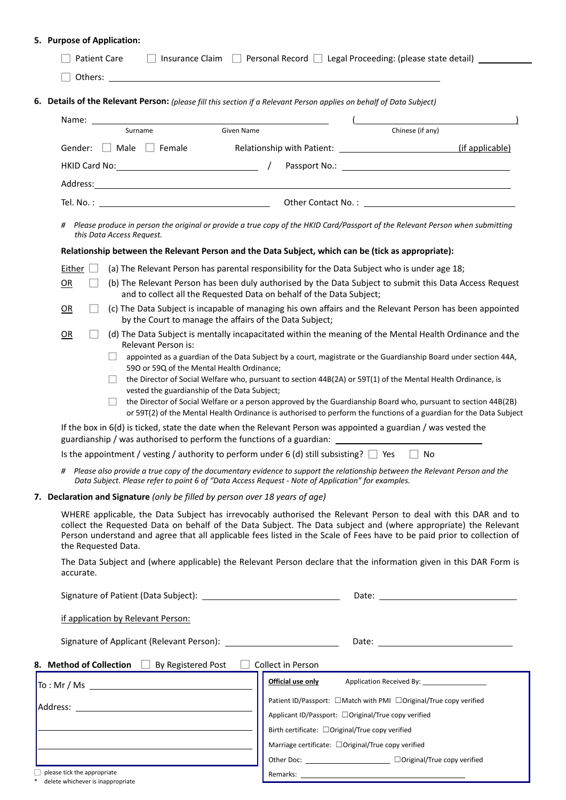### **5. Purpose of Application:**

| 6. Details of the Relevant Person: (please fill this section if a Relevant Person applies on behalf of Data Subject)                                                                       |                                                                                               |                                                                                                                                                                                                                                                                                                                                                              |
|--------------------------------------------------------------------------------------------------------------------------------------------------------------------------------------------|-----------------------------------------------------------------------------------------------|--------------------------------------------------------------------------------------------------------------------------------------------------------------------------------------------------------------------------------------------------------------------------------------------------------------------------------------------------------------|
|                                                                                                                                                                                            |                                                                                               |                                                                                                                                                                                                                                                                                                                                                              |
|                                                                                                                                                                                            |                                                                                               | Chinese (if any)                                                                                                                                                                                                                                                                                                                                             |
| Gender:   Male   Female                                                                                                                                                                    |                                                                                               | (if applicable)                                                                                                                                                                                                                                                                                                                                              |
|                                                                                                                                                                                            |                                                                                               |                                                                                                                                                                                                                                                                                                                                                              |
|                                                                                                                                                                                            |                                                                                               |                                                                                                                                                                                                                                                                                                                                                              |
|                                                                                                                                                                                            |                                                                                               | Tel. No.: 1998. Tel. No.: 2008. Tel. No.: 2008. Tel. No.: 2008. Tel. No.: 2008. Tel. No.: 2008. Tel. 2008. Tel                                                                                                                                                                                                                                               |
| #<br>this Data Access Request.                                                                                                                                                             |                                                                                               | Please produce in person the original or provide a true copy of the HKID Card/Passport of the Relevant Person when submitting                                                                                                                                                                                                                                |
| Relationship between the Relevant Person and the Data Subject, which can be (tick as appropriate):                                                                                         |                                                                                               |                                                                                                                                                                                                                                                                                                                                                              |
| Either $\Box$                                                                                                                                                                              | (a) The Relevant Person has parental responsibility for the Data Subject who is under age 18; |                                                                                                                                                                                                                                                                                                                                                              |
| QR                                                                                                                                                                                         | and to collect all the Requested Data on behalf of the Data Subject;                          | (b) The Relevant Person has been duly authorised by the Data Subject to submit this Data Access Request                                                                                                                                                                                                                                                      |
| $OR$                                                                                                                                                                                       | by the Court to manage the affairs of the Data Subject;                                       | (c) The Data Subject is incapable of managing his own affairs and the Relevant Person has been appointed                                                                                                                                                                                                                                                     |
| $OR$                                                                                                                                                                                       |                                                                                               | (d) The Data Subject is mentally incapacitated within the meaning of the Mental Health Ordinance and the                                                                                                                                                                                                                                                     |
| Relevant Person is:                                                                                                                                                                        |                                                                                               | appointed as a guardian of the Data Subject by a court, magistrate or the Guardianship Board under section 44A,                                                                                                                                                                                                                                              |
| 590 or 59Q of the Mental Health Ordinance;                                                                                                                                                 |                                                                                               |                                                                                                                                                                                                                                                                                                                                                              |
| vested the guardianship of the Data Subject;                                                                                                                                               |                                                                                               | the Director of Social Welfare who, pursuant to section 44B(2A) or 59T(1) of the Mental Health Ordinance, is                                                                                                                                                                                                                                                 |
|                                                                                                                                                                                            |                                                                                               | the Director of Social Welfare or a person approved by the Guardianship Board who, pursuant to section 44B(2B)                                                                                                                                                                                                                                               |
|                                                                                                                                                                                            |                                                                                               | or 59T(2) of the Mental Health Ordinance is authorised to perform the functions of a guardian for the Data Subject                                                                                                                                                                                                                                           |
| If the box in $6(d)$ is ticked, state the date when the Relevant Person was appointed a guardian / was vested the<br>guardianship / was authorised to perform the functions of a guardian: |                                                                                               |                                                                                                                                                                                                                                                                                                                                                              |
| Is the appointment / vesting / authority to perform under 6 (d) still subsisting? $\Box$ Yes $\Box$ No                                                                                     |                                                                                               |                                                                                                                                                                                                                                                                                                                                                              |
| Data Subject. Please refer to point 6 of "Data Access Request - Note of Application" for examples.                                                                                         |                                                                                               | # Please also provide a true copy of the documentary evidence to support the relationship between the Relevant Person and the                                                                                                                                                                                                                                |
| 7. Declaration and Signature (only be filled by person over 18 years of age)                                                                                                               |                                                                                               |                                                                                                                                                                                                                                                                                                                                                              |
| the Requested Data.                                                                                                                                                                        |                                                                                               | WHERE applicable, the Data Subject has irrevocably authorised the Relevant Person to deal with this DAR and to<br>collect the Requested Data on behalf of the Data Subject. The Data subject and (where appropriate) the Relevant<br>Person understand and agree that all applicable fees listed in the Scale of Fees have to be paid prior to collection of |
| accurate.                                                                                                                                                                                  |                                                                                               | The Data Subject and (where applicable) the Relevant Person declare that the information given in this DAR Form is                                                                                                                                                                                                                                           |
|                                                                                                                                                                                            |                                                                                               |                                                                                                                                                                                                                                                                                                                                                              |
| if application by Relevant Person:                                                                                                                                                         |                                                                                               |                                                                                                                                                                                                                                                                                                                                                              |
|                                                                                                                                                                                            |                                                                                               |                                                                                                                                                                                                                                                                                                                                                              |
| 8. Method of Collection <b>By Registered Post</b>                                                                                                                                          | Collect in Person                                                                             |                                                                                                                                                                                                                                                                                                                                                              |
|                                                                                                                                                                                            | Official use only                                                                             | Application Received By: 1999 1999                                                                                                                                                                                                                                                                                                                           |
|                                                                                                                                                                                            |                                                                                               | Patient ID/Passport: □Match with PMI □Original/True copy verified                                                                                                                                                                                                                                                                                            |
| Address:                                                                                                                                                                                   | Applicant ID/Passport: □Original/True copy verified                                           |                                                                                                                                                                                                                                                                                                                                                              |
| <u> 1989 - Johann Barn, mars eta bainar eta idazlea (</u>                                                                                                                                  | Birth certificate: □Original/True copy verified                                               |                                                                                                                                                                                                                                                                                                                                                              |
|                                                                                                                                                                                            |                                                                                               |                                                                                                                                                                                                                                                                                                                                                              |
| <u> La componenta de la componenta de la componenta de la componenta de la componenta de la componenta de la comp</u>                                                                      | Marriage certificate: □Original/True copy verified                                            |                                                                                                                                                                                                                                                                                                                                                              |

Remarks:

 $\Box$  please tick the appropriate \* delete whichever is inappropriate